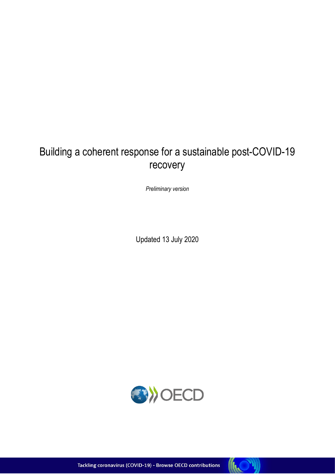# Building a coherent response for a sustainable post-COVID-19 recovery

*Preliminary version*

Updated 13 July 2020



Tackling coronavirus (COVID-19) - Browse OECD contributions

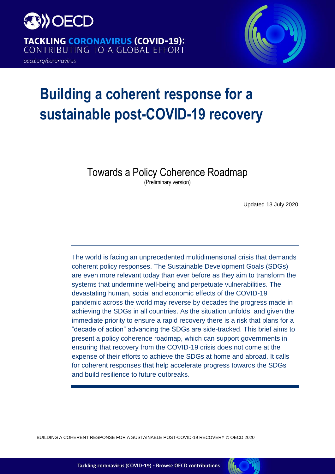

**TACKLING CORONAVIRUS (COVID-19):** CONTRIBUTING TO A GLOBAL EFFORT

oecd.org/coronavirus



# **Building a coherent response for a sustainable post-COVID-19 recovery**

Towards a Policy Coherence Roadmap

(Preliminary version)

Updated 13 July 2020

The world is facing an unprecedented multidimensional crisis that demands coherent policy responses. The Sustainable Development Goals (SDGs) are even more relevant today than ever before as they aim to transform the systems that undermine well-being and perpetuate vulnerabilities. The devastating human, social and economic effects of the COVID-19 pandemic across the world may reverse by decades the progress made in achieving the SDGs in all countries. As the situation unfolds, and given the immediate priority to ensure a rapid recovery there is a risk that plans for a "decade of action" advancing the SDGs are side-tracked. This brief aims to present a policy coherence roadmap, which can support governments in ensuring that recovery from the COVID-19 crisis does not come at the expense of their efforts to achieve the SDGs at home and abroad. It calls for coherent responses that help accelerate progress towards the SDGs and build resilience to future outbreaks.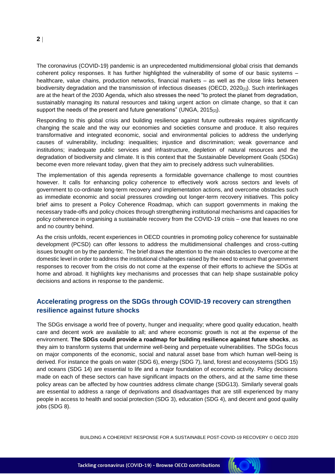The coronavirus (COVID-19) pandemic is an unprecedented multidimensional global crisis that demands coherent policy responses. It has further highlighted the vulnerability of some of our basic systems – healthcare, value chains, production networks, financial markets – as well as the close links between biodiversity degradation and the transmission of infectious diseases (OECD, 2020<sub>[1]</sub>). Such interlinkages are at the heart of the 2030 Agenda, which also stresses the need "to protect the planet from degradation, sustainably managing its natural resources and taking urgent action on climate change, so that it can support the needs of the present and future generations" (UNGA, 2015[2]).

Responding to this global crisis and building resilience against future outbreaks requires significantly changing the scale and the way our economies and societies consume and produce. It also requires transformative and integrated economic, social and environmental policies to address the underlying causes of vulnerability, including: inequalities; injustice and discrimination; weak governance and institutions; inadequate public services and infrastructure, depletion of natural resources and the degradation of biodiversity and climate. It is this context that the Sustainable Development Goals (SDGs) become even more relevant today, given that they aim to precisely address such vulnerabilities.

The implementation of this agenda represents a formidable governance challenge to most countries however. It calls for enhancing policy coherence to effectively work across sectors and levels of government to co-ordinate long-term recovery and implementation actions, and overcome obstacles such as immediate economic and social pressures crowding out longer-term recovery initiatives. This policy brief aims to present a Policy Coherence Roadmap, which can support governments in making the necessary trade-offs and policy choices through strengthening institutional mechanisms and capacities for policy coherence in organising a sustainable recovery from the COVID-19 crisis – one that leaves no one and no country behind.

As the crisis unfolds, recent experiences in OECD countries in promoting policy coherence for sustainable development (PCSD) can offer lessons to address the multidimensional challenges and cross-cutting issues brought on by the pandemic. The brief draws the attention to the main obstacles to overcome at the domestic level in order to address the institutional challenges raised by the need to ensure that government responses to recover from the crisis do not come at the expense of their efforts to achieve the SDGs at home and abroad. It highlights key mechanisms and processes that can help shape sustainable policy decisions and actions in response to the pandemic.

### **Accelerating progress on the SDGs through COVID-19 recovery can strengthen resilience against future shocks**

The SDGs envisage a world free of poverty, hunger and inequality; where good quality education, health care and decent work are available to all; and where economic growth is not at the expense of the environment. **The SDGs could provide a roadmap for building resilience against future shocks**, as they aim to transform systems that undermine well-being and perpetuate vulnerabilities. The SDGs focus on major components of the economic, social and natural asset base from which human well-being is derived. For instance the goals on water (SDG 6), energy (SDG 7), land, forest and ecosystems (SDG 15) and oceans (SDG 14) are essential to life and a major foundation of economic activity. Policy decisions made on each of these sectors can have significant impacts on the others, and at the same time these policy areas can be affected by how countries address climate change (SDG13). Similarly several goals are essential to address a range of deprivations and disadvantages that are still experienced by many people in access to health and social protection (SDG 3), education (SDG 4), and decent and good quality jobs (SDG 8).

BUILDING A COHERENT RESPONSE FOR A SUSTAINABLE POST-COVID-19 RECOVERY © OECD 2020

**INC** 

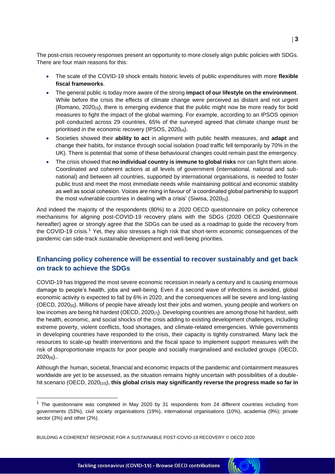The post-crisis recovery responses present an opportunity to more closely align public policies with SDGs. There are four main reasons for this:

- The scale of the COVID-19 shock entails historic levels of public expenditures with more **flexible fiscal frameworks**.
- The general public is today more aware of the strong **impact of our lifestyle on the environment**. While before the crisis the effects of climate change were perceived as distant and not urgent (Romano, 2020[3]), there is emerging evidence that the public might now be more ready for bold measures to fight the impact of the global warming. For example, according to an IPSOS opinion poll conducted across 29 countries, 65% of the surveyed agreed that climate change must be prioritised in the economic recovery (IPSOS, 2020[4]).
- Societies showed their **ability to act** in alignment with public health measures, and **adapt** and change their habits, for instance through social isolation (road traffic fell temporarily by 70% in the UK). There is potential that some of these behavioural changes could remain past the emergency.
- The crisis showed that **no individual country is immune to global risks** nor can fight them alone. Coordinated and coherent actions at all levels of government (international, national and subnational) and between all countries, supported by international organisations, is needed to foster public trust and meet the most immediate needs while maintaining political and economic stability as well as social cohesion. Voices are rising in favour of 'a coordinated global partnership to support the most vulnerable countries in dealing with a crisis' (Siwisa,  $2020_{[5]}$ ).

And indeed the majority of the respondents (80%) to a 2020 OECD questionnaire on policy coherence mechanisms for aligning post-COVID-19 recovery plans with the SDGs (2020 OECD Questionnaire hereafter) agree or strongly agree that the SDGs can be used as a roadmap to guide the recovery from the COVID-19 crisis.<sup>1</sup> Yet, they also stresses a high risk that short-term economic consequences of the pandemic can side-track sustainable development and well-being priorities.

### **Enhancing policy coherence will be essential to recover sustainably and get back on track to achieve the SDGs**

COVID-19 has triggered the most severe economic recession in nearly a century and is causing enormous damage to people's health, jobs and well-being. Even if a second wave of infections is avoided, global economic activity is expected to fall by 6% in 2020, and the consequences will be severe and long-lasting (OECD, 2020[6]). Millions of people have already lost their jobs and women, young people and workers on low incomes are being hit hardest (OECD, 2020[7]). Developing countries are among those hit hardest, with the health, economic, and social shocks of the crisis adding to existing development challenges, including extreme poverty, violent conflicts, food shortages, and climate-related emergencies. While governments in developing countries have responded to the crisis, their capacity is tightly constrained. Many lack the resources to scale-up health interventions and the fiscal space to implement support measures with the risk of disproportionate impacts for poor people and socially marginalised and excluded groups (OECD,  $2020_{[8]}$ .

Although the human, societal, financial and economic impacts of the pandemic and containment measures worldwide are yet to be assessed, as the situation remains highly uncertain with possibilities of a doublehit scenario (OECD, 2020[10]), **this global crisis may significantly reverse the progress made so far in** 

**KO** 



 $1$  The questionnaire was completed in May 2020 by 31 respondents from 24 different countries including from governments (53%), civil society organisations (19%), international organisations (10%), academia (9%); private sector (3%) and other (2%).

BUILDING A COHERENT RESPONSE FOR A SUSTAINABLE POST-COVID-19 RECOVERY © OECD 2020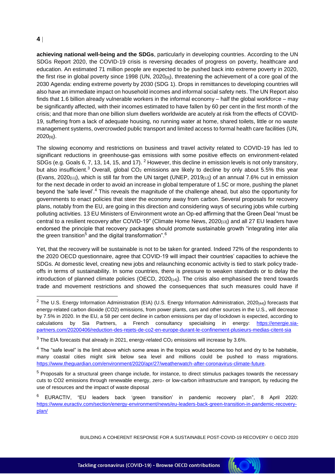**achieving national well-being and the SDGs**, particularly in developing countries. According to the UN SDGs Report 2020, the COVID-19 crisis is reversing decades of progress on poverty, healthcare and education. An estimated 71 million people are expected to be pushed back into extreme poverty in 2020, the first rise in global poverty since 1998 (UN, 2020<sub>[9]</sub>), threatening the achievement of a core goal of the 2030 Agenda: ending extreme poverty by 2030 (SDG 1). Drops in remittances to developing countries will also have an immediate impact on household incomes and informal social safety nets. The UN Report also finds that 1.6 billion already vulnerable workers in the informal economy – half the global workforce – may be significantly affected, with their incomes estimated to have fallen by 60 per cent in the first month of the crisis; and that more than one billion slum dwellers worldwide are acutely at risk from the effects of COVID-19, suffering from a lack of adequate housing, no running water at home, shared toilets, little or no waste management systems, overcrowded public transport and limited access to formal health care facilities (UN, 2020[9]).

The slowing economy and restrictions on business and travel activity related to COVID-19 has led to significant reductions in greenhouse-gas emissions with some positive effects on environment-related SDGs (e.g. Goals 6, 7, 13, 14, 15, and 17). <sup>2</sup> However, this decline in emission levels is not only transitory, but also insufficient.<sup>3</sup> Overall, global  $CO<sub>2</sub>$  emissions are likely to decline by only about 5.5% this year (Evans, 2020 $_{[11]}$ ), which is still far from the UN target (UNEP, 2019 $_{[12]}$ ) of an annual 7.6% cut in emission for the next decade in order to avoid an increase in global temperature of 1.5C or more, pushing the planet beyond the 'safe level'.<sup>4</sup> This reveals the magnitude of the challenge ahead, but also the opportunity for governments to enact policies that steer the economy away from carbon. Several proposals for recovery plans, notably from the EU, are going in this direction and considering ways of securing jobs while curbing polluting activities. 13 EU Ministers of Environment wrote an Op-ed affirming that the Green Deal "must be central to a resilient recovery after COVID-19" (Climate Home News, 2020<sub>[13]</sub>) and all 27 EU leaders have endorsed the principle that recovery packages should promote sustainable growth "integrating inter alia the green transition $^5$  and the digital transformation". $^6$ 

Yet, that the recovery will be sustainable is not to be taken for granted. Indeed 72% of the respondents to the 2020 OECD questionnaire, agree that COVID-19 will impact their countries' capacities to achieve the SDGs. At domestic level, creating new jobs and relaunching economic activity is tied to stark policy tradeoffs in terms of sustainability. In some countries, there is pressure to weaken standards or to delay the introduction of planned climate policies (OECD,  $2020_{[14]}$ ). The crisis also emphasised the trend towards trade and movement restrictions and showed the consequences that such measures could have if

BUILDING A COHERENT RESPONSE FOR A SUSTAINABLE POST-COVID-19 RECOVERY © OECD 2020

**INC** 



 $2$  The U.S. Energy Information Administration (EIA) (U.S. Energy Information Administration, 2020 $_{[44]}$ ) forecasts that energy-related carbon dioxide (CO2) emissions, from power plants, cars and other sources in the U.S., will decrease by 7.5% in 2020. In the EU, a 58 per cent decline in carbon emissions per day of lockdown is expected, according to calculations by Sia Partners, a French consultancy specialising in energy: [https://energie.sia](https://energie.sia-partners.com/20200406/reduction-des-rejets-de-co2-en-europe-durant-le-confinement-plusieurs-medias-citent-sia)[partners.com/20200406/reduction-des-rejets-de-co2-en-europe-durant-le-confinement-plusieurs-medias-citent-sia](https://energie.sia-partners.com/20200406/reduction-des-rejets-de-co2-en-europe-durant-le-confinement-plusieurs-medias-citent-sia)

 $3$  The EIA forecasts that already in 2021, energy-related CO<sub>2</sub> emissions will increase by 3.6%.

 $<sup>4</sup>$  The "safe level" is the limit above which some areas in the tropics would become too hot and dry to be habitable,</sup> many coastal cities might sink below sea level and millions could be pushed to mass migrations. [https://www.theguardian.com/environment/2020/apr/27/weatherwatch-after-coronavirus-climate-future.](https://www.theguardian.com/environment/2020/apr/27/weatherwatch-after-coronavirus-climate-future)

<sup>5</sup> Proposals for a structural green change include, for instance, to direct stimulus packages towards the necessary cuts to CO2 emissions through renewable energy, zero- or low-carbon infrastructure and transport, by reducing the use of resources and the impact of waste disposal

<sup>6</sup> EURACTIV, "EU leaders back 'green transition' in pandemic recovery plan", 8 April 2020: [https://www.euractiv.com/section/energy-environment/news/eu-leaders-back-green-transition-in-pandemic-recovery](https://www.euractiv.com/section/energy-environment/news/eu-leaders-back-green-transition-in-pandemic-recovery-plan/)[plan/](https://www.euractiv.com/section/energy-environment/news/eu-leaders-back-green-transition-in-pandemic-recovery-plan/)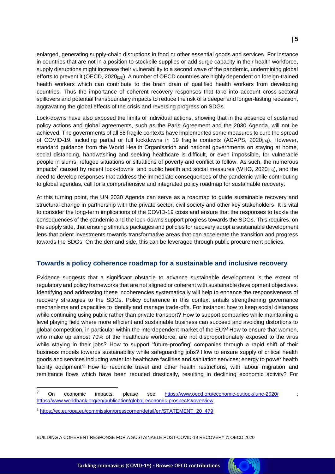enlarged, generating supply-chain disruptions in food or other essential goods and services. For instance in countries that are not in a position to stockpile supplies or add surge capacity in their health workforce, supply disruptions might increase their vulnerability to a second wave of the pandemic, undermining global efforts to prevent it (OECD, 2020<sub>[15]</sub>). A number of OECD countries are highly dependent on foreign-trained health workers which can contribute to the brain drain of qualified health workers from developing countries. Thus the importance of coherent recovery responses that take into account cross-sectoral spillovers and potential transboundary impacts to reduce the risk of a deeper and longer-lasting recession, aggravating the global effects of the crisis and reversing progress on SDGs.

Lock-downs have also exposed the limits of individual actions, showing that in the absence of sustained policy actions and global agreements, such as the Paris Agreement and the 2030 Agenda, will not be achieved. The governments of all 58 fragile contexts have implemented some measures to curb the spread of COVID-19, including partial or full lockdowns in 19 fragile contexts (ACAPS, 2020<sub>[16]</sub>). However, standard guidance from the World Health Organisation and national governments on staying at home, social distancing, handwashing and seeking healthcare is difficult, or even impossible, for vulnerable people in slums, refugee situations or situations of poverty and conflict to follow. As such, the numerous impacts<sup>7</sup> caused by recent lock-downs and public health and social measures (WHO, 2020 $_{[16]}$ ), and the need to develop responses that address the immediate consequences of the pandemic while contributing to global agendas, call for a comprehensive and integrated policy roadmap for sustainable recovery.

At this turning point, the UN 2030 Agenda can serve as a roadmap to guide sustainable recovery and structural change in partnership with the private sector, civil society and other key stakeholders. It is vital to consider the long-term implications of the COVID-19 crisis and ensure that the responses to tackle the consequences of the pandemic and the lock-downs support progress towards the SDGs. This requires, on the supply side, that ensuing stimulus packages and policies for recovery adopt a sustainable development lens that orient investments towards transformative areas that can accelerate the transition and progress towards the SDGs. On the demand side, this can be leveraged through public procurement policies.

### **Towards a policy coherence roadmap for a sustainable and inclusive recovery**

Evidence suggests that a significant obstacle to advance sustainable development is the extent of regulatory and policy frameworks that are not aligned or coherent with sustainable development objectives. Identifying and addressing these incoherencies systematically will help to enhance the responsiveness of recovery strategies to the SDGs. Policy coherence in this context entails strengthening governance mechanisms and capacities to identify and manage trade-offs. For instance: how to keep social distances while continuing using public rather than private transport? How to support companies while maintaining a level playing field where more efficient and sustainable business can succeed and avoiding distortions to global competition, in particular within the interdependent market of the EU?<sup>8</sup> How to ensure that women, who make up almost 70% of the healthcare workforce, are not disproportionately exposed to the virus while staying in their jobs? How to support 'future-proofing' companies through a rapid shift of their business models towards sustainability while safeguarding jobs? How to ensure supply of critical health goods and services including water for healthcare facilities and sanitation services; energy to power health facility equipment? How to reconcile travel and other health restrictions, with labour migration and remittance flows which have been reduced drastically, resulting in declining economic activity? For

BUILDING A COHERENT RESPONSE FOR A SUSTAINABLE POST-COVID-19 RECOVERY © OECD 2020

R

 $\overline{7}$ On economic impacts, please see <https://www.oecd.org/economic-outlook/june-2020/> <https://www.worldbank.org/en/publication/global-economic-prospects#overview>

<sup>8</sup> [https://ec.europa.eu/commission/presscorner/detail/en/STATEMENT\\_20\\_479](https://ec.europa.eu/commission/presscorner/detail/en/STATEMENT_20_479)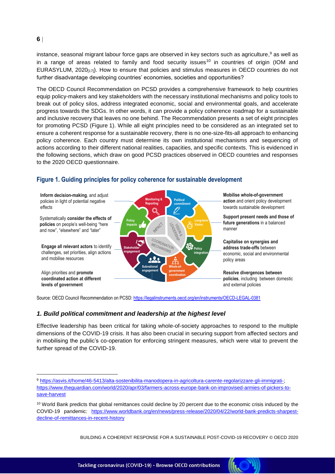instance, seasonal migrant labour force gaps are observed in key sectors such as agriculture,<sup>9</sup> as well as in a range of areas related to family and food security issues<sup>10</sup> in countries of origin (IOM and EURASYLUM, 2020[17]). How to ensure that policies and stimulus measures in OECD countries do not further disadvantage developing countries' economies, societies and opportunities?

The OECD Council Recommendation on PCSD provides a comprehensive framework to help countries equip policy-makers and key stakeholders with the necessary institutional mechanisms and policy tools to break out of policy silos, address integrated economic, social and environmental goals, and accelerate progress towards the SDGs. In other words, it can provide a policy coherence roadmap for a sustainable and inclusive recovery that leaves no one behind. The Recommendation presents a set of eight principles for promoting PCSD [\(Figure](#page-6-0) 1). While all eight principles need to be considered as an integrated set to ensure a coherent response for a sustainable recovery, there is no one-size-fits-all approach to enhancing policy coherence. Each country must determine its own institutional mechanisms and sequencing of actions according to their different national realities, capacities, and specific contexts. This is evidenced in the following sections, which draw on good PCSD practices observed in OECD countries and responses to the 2020 OECD questionnaire.



<span id="page-6-0"></span>**Figure 1. Guiding principles for policy coherence for sustainable development**

Source: OECD Council Recommendation on PCSD[: https://legalinstruments.oecd.org/en/instruments/OECD-LEGAL-0381](https://legalinstruments.oecd.org/en/instruments/OECD-LEGAL-0381)

### *1. Build political commitment and leadership at the highest level*

Effective leadership has been critical for taking whole-of-society approaches to respond to the multiple dimensions of the COVID-19 crisis. It has also been crucial in securing support from affected sectors and in mobilising the public's co-operation for enforcing stringent measures, which were vital to prevent the further spread of the COVID-19.



<sup>9</sup> [https://asvis.it/home/46-5413/alta-sostenibilita-manodopera-in-agricoltura-carente-regolarizzare-gli-immigrati-;](https://asvis.it/home/46-5413/alta-sostenibilita-manodopera-in-agricoltura-carente-regolarizzare-gli-immigrati-) [https://www.theguardian.com/world/2020/apr/03/farmers-across-europe-bank-on-improvised-armies-of-pickers-to](https://www.theguardian.com/world/2020/apr/03/farmers-across-europe-bank-on-improvised-armies-of-pickers-to-save-harvest)[save-harvest](https://www.theguardian.com/world/2020/apr/03/farmers-across-europe-bank-on-improvised-armies-of-pickers-to-save-harvest)

<sup>&</sup>lt;sup>10</sup> World Bank predicts that global remittances could decline by 20 percent due to the economic crisis induced by the COVID-19 pandemic: [https://www.worldbank.org/en/news/press-release/2020/04/22/world-bank-predicts-sharpest](https://www.worldbank.org/en/news/press-release/2020/04/22/world-bank-predicts-sharpest-decline-of-remittances-in-recent-history)[decline-of-remittances-in-recent-history](https://www.worldbank.org/en/news/press-release/2020/04/22/world-bank-predicts-sharpest-decline-of-remittances-in-recent-history)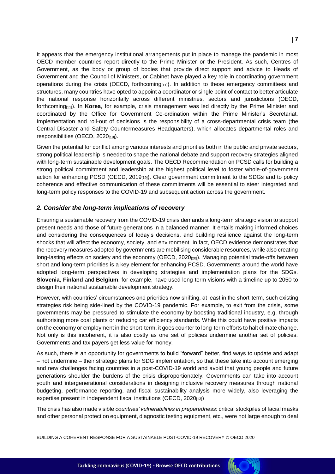It appears that the emergency institutional arrangements put in place to manage the pandemic in most OECD member countries report directly to the Prime Minister or the President. As such, Centres of Government, as the body or group of bodies that provide direct support and advice to Heads of Government and the Council of Ministers, or Cabinet have played a key role in coordinating government operations during the crisis (OECD, forthcoming $[111]$ ). In addition to these emergency committees and structures, many countries have opted to appoint a coordinator or single point of contact to better articulate the national response horizontally across different ministries, sectors and jurisdictions (OECD, forthcoming[11]). In **Korea**, for example, crisis management was led directly by the Prime Minister and coordinated by the Office for Government Co-ordination within the Prime Minister's Secretariat. Implementation and roll-out of decisions is the responsibility of a cross-departmental crisis team (the Central Disaster and Safety Countermeasures Headquarters), which allocates departmental roles and responsibilities (OECD, 2020[18]).

Given the potential for conflict among various interests and priorities both in the public and private sectors, strong political leadership is needed to shape the national debate and support recovery strategies aligned with long-term sustainable development goals. The OECD Recommendation on PCSD calls for building a strong political commitment and leadership at the highest political level to foster whole-of-government action for enhancing PCSD (OECD, 2019<sub>[19]</sub>). Clear government commitment to the SDGs and to policy coherence and effective communication of these commitments will be essential to steer integrated and long-term policy responses to the COVID-19 and subsequent action across the government.

#### *2. Consider the long-term implications of recovery*

Ensuring a sustainable recovery from the COVID-19 crisis demands a long-term strategic vision to support present needs and those of future generations in a balanced manner. It entails making informed choices and considering the consequences of today's decisions, and building resilience against the long-term shocks that will affect the economy, society, and environment. In fact, OECD evidence demonstrates that the recovery measures adopted by governments are mobilising considerable resources, while also creating long-lasting effects on society and the economy (OECD,  $2020_{[20]}$ ). Managing potential trade-offs between short and long-term priorities is a key element for enhancing PCSD. Governments around the world have adopted long-term perspectives in developing strategies and implementation plans for the SDGs. **Slovenia**, **Finland** and **Belgium**, for example, have used long-term visions with a timeline up to 2050 to design their national sustainable development strategy.

However, with countries' circumstances and priorities now shifting, at least in the short-term, such existing strategies risk being side-lined by the COVID-19 pandemic. For example, to exit from the crisis, some governments may be pressured to stimulate the economy by boosting traditional industry, e.g. through authorising more coal plants or reducing car efficiency standards. While this could have positive impacts on the economy or employment in the short-term, it goes counter to long-term efforts to halt climate change. Not only is this incoherent, it is also costly as one set of policies undermine another set of policies. Governments and tax payers get less value for money.

As such, there is an opportunity for governments to build "forward" better, find ways to update and adapt – not undermine – their strategic plans for SDG implementation, so that these take into account emerging and new challenges facing countries in a post-COVID-19 world and avoid that young people and future generations shoulder the burdens of the crisis disproportionately. Governments can take into account youth and intergenerational considerations in designing inclusive recovery measures through national budgeting, performance reporting, and fiscal sustainability analysis more widely, also leveraging the expertise present in independent fiscal institutions (OECD, 2020 $_{[13]}$ )

The crisis has also made visible *countries' vulnerabilities in preparedness*: critical stockpiles of facial masks and other personal protection equipment, diagnostic testing equipment, etc., were not large enough to deal

**KOY** 

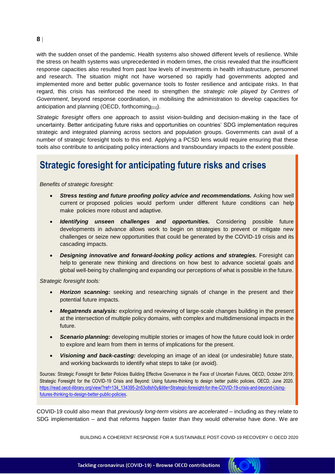#### with the sudden onset of the pandemic. Health systems also showed different levels of resilience. While the stress on health systems was unprecedented in modern times, the crisis revealed that the insufficient response capacities also resulted from past low levels of investments in health infrastructure, personnel and research. The situation might not have worsened so rapidly had governments adopted and implemented more and better public governance tools to foster resilience and anticipate risks. In that regard, this crisis has reinforced the need to strengthen the *strategic role played by Centres of Government*, beyond response coordination, in mobilising the administration to develop capacities for anticipation and planning (OECD, forthcoming<sub>[11]</sub>).

*Strategic foresight* offers one approach to assist vision-building and decision-making in the face of uncertainty. Better anticipating future risks and opportunities on countries' SDG implementation requires strategic and integrated planning across sectors and population groups. Governments can avail of a number of strategic foresight tools to this end. Applying a PCSD lens would require ensuring that these tools also contribute to anticipating policy interactions and transboundary impacts to the extent possible.

# **Strategic foresight for anticipating future risks and crises**

*Benefits of strategic foresight:*

- *Stress testing and future proofing policy advice and recommendations.* Asking how well current or proposed policies would perform under different future conditions can help make policies more robust and adaptive.
- *Identifying unseen challenges and opportunities.* **Considering possible future** developments in advance allows work to begin on strategies to prevent or mitigate new challenges or seize new opportunities that could be generated by the COVID-19 crisis and its cascading impacts.
- *Designing innovative and forward-looking policy actions and strategies.* Foresight can help to generate new thinking and directions on how best to advance societal goals and global well-being by challenging and expanding our perceptions of what is possible in the future.

*Strategic foresight tools:*

- *Horizon scanning:* seeking and researching signals of change in the present and their potential future impacts.
- *Megatrends analysis:* exploring and reviewing of large-scale changes building in the present at the intersection of multiple policy domains, with complex and multidimensional impacts in the future.
- **Scenario planning:** developing multiple stories or images of how the future could look in order to explore and learn from them in terms of implications for the present.
- *Visioning and back-casting:* developing an image of an ideal (or undesirable) future state, and working backwards to identify what steps to take (or avoid).

Sources: Strategic Foresight for Better Policies Building Effective Governance in the Face of Uncertain Futures, OECD, October 2019; Strategic Foresight for the COVID-19 Crisis and Beyond: Using futures-thinking to design better public policies, OECD, June 2020. [https://read.oecd-ilibrary.org/view/?ref=134\\_134395-2n53o8sh0y&title=Strategic-foresight-for-the-COVID-19-crisis-and-beyond-Using](https://read.oecd-ilibrary.org/view/?ref=134_134395-2n53o8sh0y&title=Strategic-foresight-for-the-COVID-19-crisis-and-beyond-Using-futures-thinking-to-design-better-public-policies)[futures-thinking-to-design-better-public-policies](https://read.oecd-ilibrary.org/view/?ref=134_134395-2n53o8sh0y&title=Strategic-foresight-for-the-COVID-19-crisis-and-beyond-Using-futures-thinking-to-design-better-public-policies).

COVID-19 could also mean that *previously long-term visions are accelerated* – including as they relate to SDG implementation – and that reforms happen faster than they would otherwise have done. We are



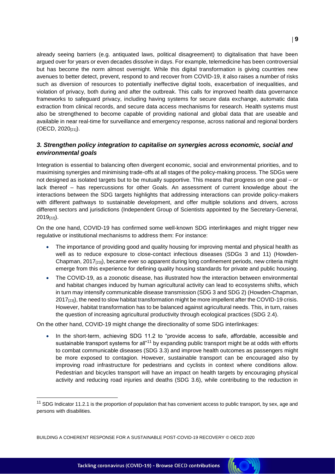already seeing barriers (e.g. antiquated laws, political disagreement) to digitalisation that have been argued over for years or even decades dissolve in days. For example, telemedicine has been controversial but has become the norm almost overnight. While this digital transformation is giving countries new avenues to better detect, prevent, respond to and recover from COVID-19, it also raises a number of risks such as diversion of resources to potentially ineffective digital tools, exacerbation of inequalities, and violation of privacy, both during and after the outbreak. This calls for improved health data governance frameworks to safeguard privacy, including having systems for secure data exchange, automatic data extraction from clinical records, and secure data access mechanisms for research. Health systems must also be strengthened to become capable of providing national and global data that are useable and available in near real-time for surveillance and emergency response, across national and regional borders (OECD, 2020[21]).

### *3. Strengthen policy integration to capitalise on synergies across economic, social and environmental goals*

Integration is essential to balancing often divergent economic, social and environmental priorities, and to maximising synergies and minimising trade-offs at all stages of the policy-making process. The SDGs were not designed as isolated targets but to be mutually supportive. This means that progress on one goal – or lack thereof – has repercussions for other Goals. An assessment of current knowledge about the interactions between the SDG targets highlights that addressing interactions can provide policy-makers with different pathways to sustainable development, and offer multiple solutions and drivers, across different sectors and jurisdictions (Independent Group of Scientists appointed by the Secretary-General, 2019[22]).

On the one hand, COVID-19 has confirmed some well-known SDG interlinkages and might trigger new regulative or institutional mechanisms to address them: For instance:

- The importance of providing good and quality housing for improving mental and physical health as well as to reduce exposure to close-contact infectious diseases (SDGs 3 and 11) (Howden-Chapman, 2017<sub>[23]</sub>), became ever so apparent during long confinement periods, new criteria might emerge from this experience for defining quality housing standards for private and public housing.
- The COVID-19, as a zoonotic disease, has illustrated how the interaction between environmental and habitat changes induced by human agricultural activity can lead to ecosystems shifts, which in turn may intensify communicable disease transmission (SDG 3 and SDG 2) (Howden-Chapman, 2017<sub>[23]</sub>), the need to slow habitat transformation might be more impellent after the COVID-19 crisis. However, habitat transformation has to be balanced against agricultural needs. This, in turn, raises the question of increasing agricultural productivity through ecological practices (SDG 2.4).

On the other hand, COVID-19 might change the directionality of some SDG interlinkages:

• In the short-term, achieving SDG 11.2 to "provide access to safe, affordable, accessible and sustainable transport systems for all<sup>"11</sup> by expanding public transport might be at odds with efforts to combat communicable diseases (SDG 3.3) and improve health outcomes as passengers might be more exposed to contagion. However, sustainable transport can be encouraged also by improving road infrastructure for pedestrians and cyclists in context where conditions allow. Pedestrian and bicycles transport will have an impact on health targets by encouraging physical activity and reducing road injuries and deaths (SDG 3.6), while contributing to the reduction in

**KON** 

 $\overline{a}$ 

 $11$  SDG Indicator 11.2.1 is the proportion of population that has convenient access to public transport, by sex, age and persons with disabilities.

BUILDING A COHERENT RESPONSE FOR A SUSTAINABLE POST-COVID-19 RECOVERY © OECD 2020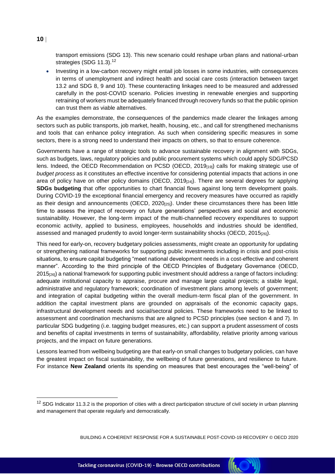transport emissions (SDG 13). This new scenario could reshape urban plans and national-urban strategies (SDG 11.3).<sup>12</sup>

 Investing in a low-carbon recovery might entail job losses in some industries, with consequences in terms of unemployment and indirect health and social care costs (interaction between target 13.2 and SDG 8, 9 and 10). These counteracting linkages need to be measured and addressed carefully in the post-COVID scenario. Policies investing in renewable energies and supporting retraining of workers must be adequately financed through recovery funds so that the public opinion can trust them as viable alternatives.

As the examples demonstrate, the consequences of the pandemics made clearer the linkages among sectors such as public transports, job market, health, housing, etc., and call for strengthened mechanisms and tools that can enhance policy integration. As such when considering specific measures in some sectors, there is a strong need to understand their impacts on others, so that to ensure coherence.

Governments have a range of strategic tools to advance sustainable recovery in alignment with SDGs, such as budgets, laws, regulatory policies and public procurement systems which could apply SDG/PCSD lens. Indeed, the OECD Recommendation on PCSD (OECD, 2019<sub>[19]</sub>) calls for making strategic use of *budget process* as it constitutes an effective incentive for considering potential impacts that actions in one area of policy have on other policy domains (OECD, 2019[24]). There are several degrees for applying **SDGs budgeting** that offer opportunities to chart financial flows against long term development goals. During COVID-19 the exceptional financial emergency and recovery measures have occurred as rapidly as their design and announcements (OECD, 2020<sub>[25]</sub>). Under these circumstances there has been little time to assess the impact of recovery on future generations' perspectives and social and economic sustainability. However, the long-term impact of the multi-channelled recovery expenditures to support economic activity, applied to business, employees, households and industries should be identified, assessed and managed prudently to avoid longer-term sustainability shocks (OECD, 2015<sub>[26]</sub>).

This need for early-on, recovery budgetary policies assessments, might create an opportunity for updating or strengthening national frameworks for supporting public investments including in crisis and post-crisis situations, to ensure capital budgeting "meet national development needs in a cost-effective and coherent manner". According to the third principle of the OECD Principles of Budgetary Governance (OECD, 2015<sub>[26]</sub>) a national framework for supporting public investment should address a range of factors including: adequate institutional capacity to appraise, procure and manage large capital projects; a stable legal, administrative and regulatory framework; coordination of investment plans among levels of government; and integration of capital budgeting within the overall medium-term fiscal plan of the government. In addition the capital investment plans are grounded on appraisals of the economic capacity gaps, infrastructural development needs and social/sectoral policies. These frameworks need to be linked to assessment and coordination mechanisms that are aligned to PCSD principles (see section 4 and 7). In particular SDG budgeting (i.e. tagging budget measures, etc.) can support a prudent assessment of costs and benefits of capital investments in terms of sustainability, affordability, relative priority among various projects, and the impact on future generations.

Lessons learned from wellbeing budgeting are that early-on small changes to budgetary policies, can have the greatest impact on fiscal sustainability, the wellbeing of future generations, and resilience to future. For instance **New Zealand** orients its spending on measures that best encourages the "well-being" of

BUILDING A COHERENT RESPONSE FOR A SUSTAINABLE POST-COVID-19 RECOVERY © OECD 2020



## **10**

 $\overline{a}$ 

Tackling coronavirus (COVID-19) - Browse OECD contributions

 $12$  SDG Indicator 11.3.2 is the proportion of cities with a direct participation structure of civil society in urban planning and management that operate regularly and democratically.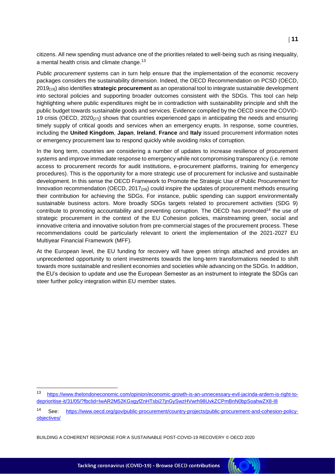citizens. All new spending must advance one of the priorities related to well-being such as rising inequality, a mental health crisis and climate change.<sup>13</sup>

*Public procurement* systems can in turn help ensure that the implementation of the economic recovery packages considers the sustainability dimension. Indeed, the OECD Recommendation on PCSD (OECD, 2019[19]) also identifies **strategic procurement** as an operational tool to integrate sustainable development into sectoral policies and supporting broader outcomes consistent with the SDGs. This tool can help highlighting where public expenditures might be in contradiction with sustainability principle and shift the public budget towards sustainable goods and services. Evidence compiled by the OECD since the COVID-19 crisis (OECD,  $2020_{[27]}$ ) shows that countries experienced gaps in anticipating the needs and ensuring timely supply of critical goods and services when an emergency erupts. In response, some countries, including the **United Kingdom**, **Japan**, **Ireland**, **France** and **Italy** issued procurement information notes or emergency procurement law to respond quickly while avoiding risks of corruption.

In the long term, countries are considering a number of updates to increase resilience of procurement systems and improve immediate response to emergency while not compromising transparency (i.e. remote access to procurement records for audit institutions, e-procurement platforms, training for emergency procedures). This is the opportunity for a more strategic use of procurement for inclusive and sustainable development. In this sense the OECD Framework to Promote the Strategic Use of Public Procurement for Innovation recommendation (OECD,  $2017_{[28]}$ ) could inspire the updates of procurement methods ensuring their contribution for achieving the SDGs. For instance, public spending can support environmentally sustainable business actors. More broadly SDGs targets related to procurement activities (SDG 9) contribute to promoting accountability and preventing corruption. The OECD has promoted<sup>14</sup> the use of strategic procurement in the context of the EU Cohesion policies, mainstreaming green, social and innovative criteria and innovative solution from pre-commercial stages of the procurement process. These recommendations could be particularly relevant to orient the implementation of the 2021-2027 EU Multiyear Financial Framework (MFF).

At the European level, the EU funding for recovery will have green strings attached and provides an unprecedented opportunity to orient investments towards the long-term transformations needed to shift towards more sustainable and resilient economies and societies while advancing on the SDGs. In addition, the EU's decision to update and use the European Semester as an instrument to integrate the SDGs can steer further policy integration within EU member states.

**CONTROL** 

BUILDING A COHERENT RESPONSE FOR A SUSTAINABLE POST-COVID-19 RECOVERY © OECD 2020

<sup>13</sup> [https://www.thelondoneconomic.com/opinion/economic-growth-is-an-unnecessary-evil-jacinda-ardern-is-right-to](https://www.thelondoneconomic.com/opinion/economic-growth-is-an-unnecessary-evil-jacinda-ardern-is-right-to-deprioritise-it/31/05/?fbclid=IwAR2M52KGxgyfZnHTsbi27jnGySwzHVwrh98UvkZCPmBnN0bpSoahwZX8-I8)[deprioritise-it/31/05/?fbclid=IwAR2M52KGxgyfZnHTsbi27jnGySwzHVwrh98UvkZCPmBnN0bpSoahwZX8-I8](https://www.thelondoneconomic.com/opinion/economic-growth-is-an-unnecessary-evil-jacinda-ardern-is-right-to-deprioritise-it/31/05/?fbclid=IwAR2M52KGxgyfZnHTsbi27jnGySwzHVwrh98UvkZCPmBnN0bpSoahwZX8-I8)

<sup>14</sup> See: [https://www.oecd.org/gov/public-procurement/country-projects/public-procurement-and-cohesion-policy](https://www.oecd.org/gov/public-procurement/country-projects/public-procurement-and-cohesion-policy-objectives/)[objectives/](https://www.oecd.org/gov/public-procurement/country-projects/public-procurement-and-cohesion-policy-objectives/)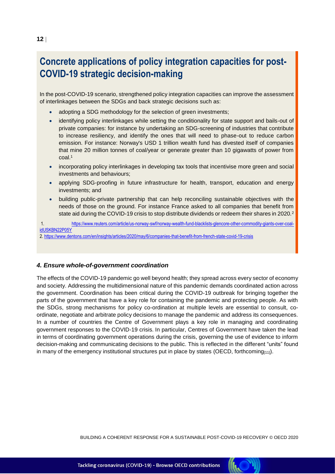# **Concrete applications of policy integration capacities for post-COVID-19 strategic decision-making**

In the post-COVID-19 scenario, strengthened policy integration capacities can improve the assessment of interlinkages between the SDGs and back strategic decisions such as:

- adopting a SDG methodology for the selection of green investments;
- identifying policy interlinkages while setting the conditionality for state support and bails-out of private companies: for instance by undertaking an SDG-screening of industries that contribute to increase resiliency, and identify the ones that will need to phase-out to reduce carbon emission. For instance: Norway's USD 1 trillion wealth fund has divested itself of companies that mine 20 million tonnes of coal/year or generate greater than 10 gigawatts of power from coal. 1
- incorporating policy interlinkages in developing tax tools that incentivise more green and social investments and behaviours;
- applying SDG-proofing in future infrastructure for health, transport, education and energy investments; and
- building public-private partnership that can help reconciling sustainable objectives with the needs of those on the ground. For instance France asked to all companies that benefit from state aid during the COVID-19 crisis to stop distribute dividends or redeem their shares in 2020.<sup>2</sup>

1. [https://www.reuters.com/article/us-norway-swf/norway-wealth-fund-blacklists-glencore-other-commodity-giants-over-coal](https://www.reuters.com/article/us-norway-swf/norway-wealth-fund-blacklists-glencore-other-commodity-giants-over-coal-idUSKBN22P05Y)[idUSKBN22P05Y](https://www.reuters.com/article/us-norway-swf/norway-wealth-fund-blacklists-glencore-other-commodity-giants-over-coal-idUSKBN22P05Y)

2.<https://www.dentons.com/en/insights/articles/2020/may/6/companies-that-benefit-from-french-state-covid-19-crisis>

#### *4. Ensure whole-of-government coordination*

The effects of the COVID-19 pandemic go well beyond health; they spread across every sector of economy and society. Addressing the multidimensional nature of this pandemic demands coordinated action across the government. Coordination has been critical during the COVID-19 outbreak for bringing together the parts of the government that have a key role for containing the pandemic and protecting people. As with the SDGs, strong mechanisms for policy co-ordination at multiple levels are essential to consult, coordinate, negotiate and arbitrate policy decisions to manage the pandemic and address its consequences. In a number of countries the Centre of Government plays a key role in managing and coordinating government responses to the COVID-19 crisis. In particular, Centres of Government have taken the lead in terms of coordinating government operations during the crisis, governing the use of evidence to inform decision-making and communicating decisions to the public. This is reflected in the different "units" found in many of the emergency institutional structures put in place by states (OECD, forthcoming $_{[11]}$ ).

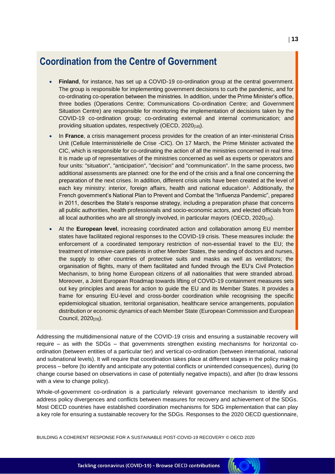# **Coordination from the Centre of Government**

- **Finland**, for instance, has set up a COVID-19 co-ordination group at the central government. The group is responsible for implementing government decisions to curb the pandemic, and for co-ordinating co-operation between the ministries. In addition, under the Prime Minister's office, three bodies (Operations Centre; Communications Co-ordination Centre; and Government Situation Centre) are responsible for monitoring the implementation of decisions taken by the COVID-19 co-ordination group; co-ordinating external and internal communication; and providing situation updates, respectively (OECD, 2020<sub>[18]</sub>).
- In **France**, a crisis management process provides for the creation of an inter-ministerial Crisis Unit (Cellule Interministérielle de Crise -CIC). On 17 March, the Prime Minister activated the CIC, which is responsible for co-ordinating the action of all the ministries concerned in real time. It is made up of representatives of the ministries concerned as well as experts or operators and four units: "situation", "anticipation", "decision" and "communication". In the same process, two additional assessments are planned: one for the end of the crisis and a final one concerning the preparation of the next crises. In addition, different crisis units have been created at the level of each key ministry: interior, foreign affairs, health and national education<sup>1</sup>. Additionally, the French government's National Plan to Prevent and Combat the "Influenza Pandemic", prepared in 2011, describes the State's response strategy, including a preparation phase that concerns all public authorities, health professionals and socio-economic actors, and elected officials from all local authorities who are all strongly involved, in particular mayors (OECD, 2020<sub>[18]</sub>).
- At the **European level**, increasing coordinated action and collaboration among EU member states have facilitated regional responses to the COVID-19 crisis. These measures include: the enforcement of a coordinated temporary restriction of non-essential travel to the EU; the treatment of intensive-care patients in other Member States, the sending of doctors and nurses, the supply to other countries of protective suits and masks as well as ventilators; the organisation of flights, many of them facilitated and funded through the EU's Civil Protection Mechanism, to bring home European citizens of all nationalities that were stranded abroad. Moreover, a Joint European Roadmap towards lifting of COVID-19 containment measures sets out key principles and areas for action to guide the EU and its Member States. It provides a frame for ensuring EU-level and cross-border coordination while recognising the specific epidemiological situation, territorial organisation, healthcare service arrangements, population distribution or economic dynamics of each Member State (European Commission and European Council, 2020[29]).

Addressing the multidimensional nature of the COVID-19 crisis and ensuring a sustainable recovery will require – as with the SDGs – that governments strengthen existing mechanisms for horizontal coordination (between entities of a particular tier) and vertical co-ordination (between international, national and subnational levels). It will require that coordination takes place at different stages in the policy making process – before (to identify and anticipate any potential conflicts or unintended consequences), during (to change course based on observations in case of potentially negative impacts), and after (to draw lessons with a view to change policy).

Whole-of-government co-ordination is a particularly relevant governance mechanism to identify and address policy divergences and conflicts between measures for recovery and achievement of the SDGs. Most OECD countries have established coordination mechanisms for SDG implementation that can play a key role for ensuring a sustainable recovery for the SDGs. Responses to the 2020 OECD questionnaire,

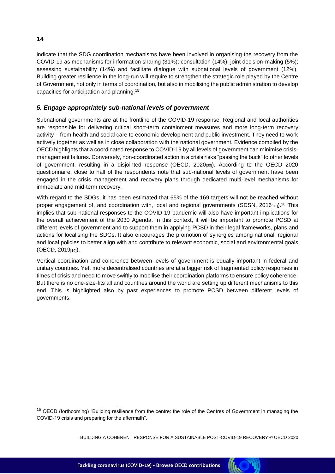indicate that the SDG coordination mechanisms have been involved in organising the recovery from the COVID-19 as mechanisms for information sharing (31%); consultation (14%); joint decision-making (5%); assessing sustainability (14%) and facilitate dialogue with subnational levels of government (12%). Building greater resilience in the long-run will require to strengthen the strategic role played by the Centre of Government, not only in terms of coordination, but also in mobilising the public administration to develop capacities for anticipation and planning.<sup>15</sup>

### *5. Engage appropriately sub-national levels of government*

Subnational governments are at the frontline of the COVID-19 response. Regional and local authorities are responsible for delivering critical short-term containment measures and more long-term recovery activity – from health and social care to economic development and public investment. They need to work actively together as well as in close collaboration with the national government. Evidence compiled by the OECD highlights that a coordinated response to COVID-19 by all levels of government can minimise crisismanagement failures. Conversely, non-coordinated action in a crisis risks "passing the buck" to other levels of government, resulting in a disjointed response (OECD, 2020[30]). According to the OECD 2020 questionnaire, close to half of the respondents note that sub-national levels of government have been engaged in the crisis management and recovery plans through dedicated multi-level mechanisms for immediate and mid-term recovery.

With regard to the SDGs, it has been estimated that 65% of the 169 targets will not be reached without proper engagement of, and coordination with, local and regional governments (SDSN, 2016 $_{[31]}$ ).<sup>28</sup> This implies that sub-national responses to the COVID-19 pandemic will also have important implications for the overall achievement of the 2030 Agenda. In this context, it will be important to promote PCSD at different levels of government and to support them in applying PCSD in their legal frameworks, plans and actions for localising the SDGs. It also encourages the promotion of synergies among national, regional and local policies to better align with and contribute to relevant economic, social and environmental goals  $(OECD, 2019<sub>[19]</sub>).$ 

Vertical coordination and coherence between levels of government is equally important in federal and unitary countries. Yet, more decentralised countries are at a bigger risk of fragmented policy responses in times of crisis and need to move swiftly to mobilise their coordination platforms to ensure policy coherence. But there is no one-size-fits all and countries around the world are setting up different mechanisms to this end. This is highlighted also by past experiences to promote PCSD between different levels of governments.



<sup>&</sup>lt;sup>15</sup> OECD (forthcoming) "Building resilience from the centre: the role of the Centres of Government in managing the COVID-19 crisis and preparing for the aftermath".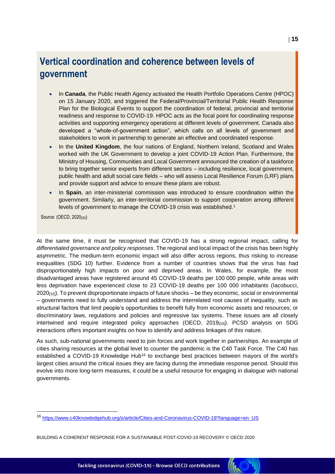# **Vertical coordination and coherence between levels of government**

- In **Canada**, the Public Health Agency activated the Health Portfolio Operations Centre (HPOC) on 15 January 2020, and triggered the Federal/Provincial/Territorial Public Health Response Plan for the Biological Events to support the coordination of federal, provincial and territorial readiness and response to COVID-19. HPOC acts as the focal point for coordinating response activities and supporting emergency operations at different levels of government. Canada also developed a "whole-of-government action", which calls on all levels of government and stakeholders to work in partnership to generate an effective and coordinated response.
- In the **United Kingdom**, the four nations of England, Northern Ireland, Scotland and Wales worked with the UK Government to develop a joint COVID-19 Action Plan. Furthermore, the Ministry of Housing, Communities and Local Government announced the creation of a taskforce to bring together senior experts from different sectors – including resilience, local government, public health and adult social care fields – who will assess Local Resilience Forum (LRF) plans and provide support and advice to ensure these plans are robust.
- In **Spain**, an inter-ministerial commission was introduced to ensure coordination within the government. Similarly, an inter-territorial commission to support cooperation among different levels of government to manage the COVID-19 crisis was established.<sup>1</sup>

Source: (OECD, 2020<sub>[30]</sub>)

At the same time, it must be recognised that COVID-19 has a strong regional impact, calling for *differentiated governance and policy responses*. The regional and local impact of the crisis has been highly asymmetric. The medium-term economic impact will also differ across regions, thus risking to increase inequalities (SDG 10) further. Evidence from a number of countries shows that the virus has had disproportionately high impacts on poor and deprived areas. In Wales, for example, the most disadvantaged areas have registered around 45 COVID-19 deaths per 100 000 people, while areas with less deprivation have experienced close to 23 COVID-19 deaths per 100 000 inhabitants (Iacobucci, 2020[32]). To prevent disproportionate impacts of future shocks – be they economic, social or environmental – governments need to fully understand and address the interrelated root causes of inequality, such as structural factors that limit people's opportunities to benefit fully from economic assets and resources; or discriminatory laws, regulations and policies and regressive tax systems. These issues are all closely intertwined and require integrated policy approaches (OECD, 2019[33]). PCSD analysis on SDG interactions offers important insights on how to identify and address linkages of this nature.

As such, sub-national governments need to join forces and work together in partnerships. An example of cities sharing resources at the global level to counter the pandemic is the C40 Task Force. The C40 has established a COVID-19 Knowledge Hub<sup>16</sup> to exchange best practices between mayors of the world's largest cities around the critical issues they are facing during the immediate response period. Should this evolve into more long-term measures, it could be a useful resource for engaging in dialogue with national governments.

<sup>16</sup> [https://www.c40knowledgehub.org/s/article/Cities-and-Coronavirus-COVID-19?language=en\\_US](https://www.c40knowledgehub.org/s/article/Cities-and-Coronavirus-COVID-19?language=en_US)

BUILDING A COHERENT RESPONSE FOR A SUSTAINABLE POST-COVID-19 RECOVERY © OECD 2020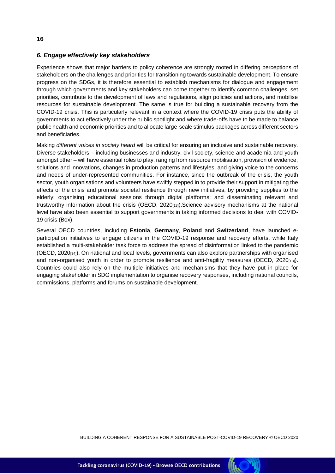### *6. Engage effectively key stakeholders*

Experience shows that major barriers to policy coherence are strongly rooted in differing perceptions of stakeholders on the challenges and priorities for transitioning towards sustainable development. To ensure progress on the SDGs, it is therefore essential to establish mechanisms for dialogue and engagement through which governments and key stakeholders can come together to identify common challenges, set priorities, contribute to the development of laws and regulations, align policies and actions, and mobilise resources for sustainable development. The same is true for building a sustainable recovery from the COVID-19 crisis. This is particularly relevant in a context where the COVID-19 crisis puts the ability of governments to act effectively under the public spotlight and where trade-offs have to be made to balance public health and economic priorities and to allocate large-scale stimulus packages across different sectors and beneficiaries.

Making *different voices in society heard* will be critical for ensuring an inclusive and sustainable recovery. Diverse stakeholders – including businesses and industry, civil society, science and academia and youth amongst other – will have essential roles to play, ranging from resource mobilisation, provision of evidence, solutions and innovations, changes in production patterns and lifestyles, and giving voice to the concerns and needs of under-represented communities. For instance, since the outbreak of the crisis, the youth sector, youth organisations and volunteers have swiftly stepped in to provide their support in mitigating the effects of the crisis and promote societal resilience through new initiatives, by providing supplies to the elderly; organising educational sessions through digital platforms; and disseminating relevant and trustworthy information about the crisis (OECD,  $2020_{[13]}$ ). Science advisory mechanisms at the national level have also been essential to support governments in taking informed decisions to deal with COVID-19 crisis (Box).

Several OECD countries, including **Estonia**, **Germany**, **Poland** and **Switzerland**, have launched eparticipation initiatives to engage citizens in the COVID-19 response and recovery efforts, while Italy established a multi-stakeholder task force to address the spread of disinformation linked to the pandemic (OECD, 2020[34]). On national and local levels, governments can also explore partnerships with organised and non-organised youth in order to promote resilience and anti-fragility measures (OECD,  $2020_{[13]}$ ). Countries could also rely on the multiple initiatives and mechanisms that they have put in place for engaging stakeholder in SDG implementation to organise recovery responses, including national councils, commissions, platforms and forums on sustainable development.

BUILDING A COHERENT RESPONSE FOR A SUSTAINABLE POST-COVID-19 RECOVERY © OECD 2020

**INC** 

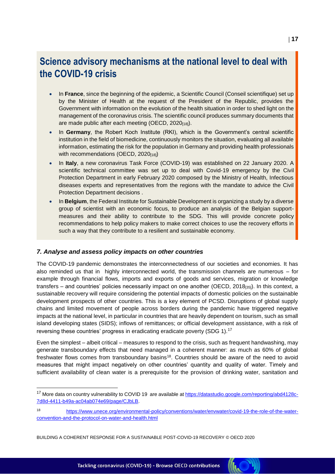# **Science advisory mechanisms at the national level to deal with the COVID-19 crisis**

- In **France**, since the beginning of the epidemic, a Scientific Council (Conseil scientifique) set up by the Minister of Health at the request of the President of the Republic, provides the Government with information on the evolution of the health situation in order to shed light on the management of the coronavirus crisis. The scientific council produces summary documents that are made public after each meeting (OECD, 2020[18]).
- In **Germany**, the Robert Koch Institute (RKI), which is the Government's central scientific institution in the field of biomedicine, continuously monitors the situation, evaluating all available information, estimating the risk for the population in Germany and providing health professionals with recommendations (OECD, 2020[18])
- In **Italy**, a new coronavirus Task Force (COVID-19) was established on 22 January 2020. A [scientific technical committee](http://www.protezionecivile.gov.it/amministrazione-trasparente/provvedimenti/dettaglio/-/asset_publisher/default/content/ocdpc-n-630-del-3-febbraio-2020-primi-interventi-urgenti-di-protezione-civile-in-relazione-all-emergenza-relativa-al-rischio-sanitario-connesso-all-in) was set up to deal with Covid-19 emergency by the Civil Protection Department in early February 2020 composed by the Ministry of Health, Infectious diseases experts and representatives from the regions with the mandate to advice the Civil Protection Department decisions .
- In **Belgium**, the Federal Institute for Sustainable Development is organizing a study by a diverse group of scientist with an economic focus, to produce an analysis of the Belgian supportmeasures and their ability to contribute to the SDG. This will provide concrete policy recommendations to help policy makers to make correct choices to use the recovery efforts in such a way that they contribute to a resilient and sustainable economy.

### *7. Analyse and assess policy impacts on other countries*

The COVID-19 pandemic demonstrates the interconnectedness of our societies and economies. It has also reminded us that in highly interconnected world, the transmission channels are numerous – for example through financial flows, imports and exports of goods and services, migration or knowledge transfers – and countries' policies necessarily impact on one another (OECD, 2018 $_{[35]}$ ). In this context, a sustainable recovery will require considering the potential impacts of domestic policies on the sustainable development prospects of other countries. This is a key element of PCSD. Disruptions of global supply chains and limited movement of people across borders during the pandemic have triggered negative impacts at the national level, in particular in countries that are heavily dependent on tourism, such as small island developing states (SIDS); inflows of remittances; or official development assistance, with a risk of reversing these countries' progress in eradicating eradicate poverty (SDG 1).<sup>17</sup>

Even the simplest – albeit critical – measures to respond to the crisis, such as frequent handwashing, may generate transboundary effects that need managed in a coherent manner: as much as 60% of global freshwater flows comes from transboundary basins<sup>18</sup>. Countries should be aware of the need to avoid measures that might impact negatively on other countries' quantity and quality of water. Timely and sufficient availability of clean water is a prerequisite for the provision of drinking water, sanitation and

<sup>&</sup>lt;sup>17</sup> More data on country vulnerability to COVID 19 are available a[t https://datastudio.google.com/reporting/abd4128c-](https://datastudio.google.com/reporting/abd4128c-7d8d-4411-b49a-ac04ab074e69/page/CJbLB)[7d8d-4411-b49a-ac04ab074e69/page/CJbLB.](https://datastudio.google.com/reporting/abd4128c-7d8d-4411-b49a-ac04ab074e69/page/CJbLB)

[https://www.unece.org/environmental-policy/conventions/water/envwater/covid-19-the-role-of-the-water](https://www.unece.org/environmental-policy/conventions/water/envwater/covid-19-the-role-of-the-water-convention-and-the-protocol-on-water-and-health.html)[convention-and-the-protocol-on-water-and-health.html](https://www.unece.org/environmental-policy/conventions/water/envwater/covid-19-the-role-of-the-water-convention-and-the-protocol-on-water-and-health.html)

BUILDING A COHERENT RESPONSE FOR A SUSTAINABLE POST-COVID-19 RECOVERY © OECD 2020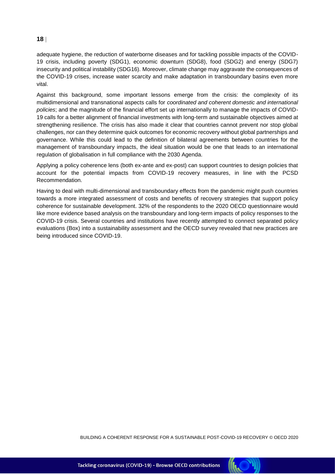adequate hygiene, the reduction of waterborne diseases and for tackling possible impacts of the COVID-19 crisis, including poverty (SDG1), economic downturn (SDG8), food (SDG2) and energy (SDG7) insecurity and political instability (SDG16). Moreover, climate change may aggravate the consequences of the COVID-19 crises, increase water scarcity and make adaptation in transboundary basins even more vital.

Against this background, some important lessons emerge from the crisis: the complexity of its multidimensional and transnational aspects calls for *coordinated and coherent domestic and international policies*; and the magnitude of the financial effort set up internationally to manage the impacts of COVID-19 calls for a better alignment of financial investments with long-term and sustainable objectives aimed at strengthening resilience. The crisis has also made it clear that countries cannot prevent nor stop global challenges, nor can they determine quick outcomes for economic recovery without global partnerships and governance. While this could lead to the definition of bilateral agreements between countries for the management of transboundary impacts, the ideal situation would be one that leads to an international regulation of globalisation in full compliance with the 2030 Agenda.

Applying a policy coherence lens (both ex-ante and ex-post) can support countries to design policies that account for the potential impacts from COVID-19 recovery measures, in line with the PCSD Recommendation.

Having to deal with multi-dimensional and transboundary effects from the pandemic might push countries towards a more integrated assessment of costs and benefits of recovery strategies that support policy coherence for sustainable development. 32% of the respondents to the 2020 OECD questionnaire would like more evidence based analysis on the transboundary and long-term impacts of policy responses to the COVID-19 crisis. Several countries and institutions have recently attempted to connect separated policy evaluations (Box) into a sustainability assessment and the OECD survey revealed that new practices are being introduced since COVID-19.

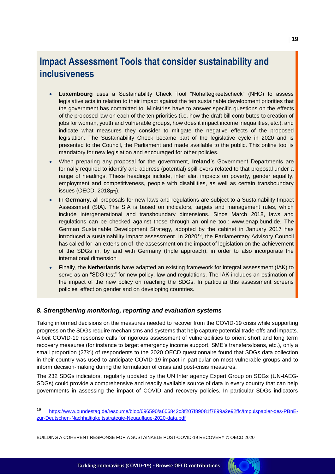# **Impact Assessment Tools that consider sustainability and inclusiveness**

- **Luxembourg** uses a Sustainability Check Tool "Nohaltegkeetscheck" (NHC) to assess legislative acts in relation to their impact against the ten sustainable development priorities that the government has committed to. Ministries have to answer specific questions on the effects of the proposed law on each of the ten priorities (i.e. how the draft bill contributes to creation of jobs for woman, youth and vulnerable groups, how does it impact income inequalities, etc.), and indicate what measures they consider to mitigate the negative effects of the proposed legislation. The Sustainability Check became part of the legislative cycle in 2020 and is presented to the Council, the Parliament and made available to the public. This online tool is mandatory for new legislation and encouraged for other policies.
- When preparing any proposal for the government, **Ireland**'s Government Departments are formally required to identify and address (potential) spill-overs related to that proposal under a range of headings. These headings include, inter alia, impacts on poverty, gender equality, employment and competitiveness, people with disabilities, as well as certain transboundary issues (OECD,  $2018_{[37]}$ ).
- In **Germany**, all proposals for new laws and regulations are subject to a Sustainability Impact Assessment (SIA). The SIA is based on indicators, targets and management rules, which include intergenerational and transboundary dimensions. Since March 2018, laws and regulations can be checked against those through an online tool: [www.enap.bund.de.](http://www.enap.bund.de/) The German Sustainable Development Strategy, adopted by the cabinet in January 2017 has introduced a sustainability impact assessment. In 2020<sup>19</sup>, the Parliamentary Advisory Council has called for an extension of the assessment on the impact of legislation on the achievement of the SDGs in, by and with Germany (triple approach), in order to also incorporate the international dimension
- Finally, the **Netherlands** have adapted an existing framework for integral assessment (IAK) to serve as an "SDG test" for new policy, law and regulations. The IAK includes an estimation of the impact of the new policy on reaching the SDGs. In particular this assessment screens policies' effect on gender and on developing countries.

### *8. Strengthening monitoring, reporting and evaluation systems*

Taking informed decisions on the measures needed to recover from the COVID-19 crisis while supporting progress on the SDGs require mechanisms and systems that help capture potential trade-offs and impacts. Albeit COVID-19 response calls for rigorous assessment of vulnerabilities to orient short and long term recovery measures (for instance to target emergency income support, SME's transfers/loans, etc.), only a small proportion (27%) of respondents to the 2020 OECD questionnaire found that SDGs data collection in their country was used to anticipate COVID-19 impact in particular on most vulnerable groups and to inform decision-making during the formulation of crisis and post-crisis measures.

The 232 SDGs indicators, regularly updated by the UN Inter agency Expert Group on SDGs (UN-IAEG-SDGs) could provide a comprehensive and readily available source of data in every country that can help governments in assessing the impact of COVID and recovery policies. In particular SDGs indicators

K

<sup>19</sup> [https://www.bundestag.de/resource/blob/696590/a606842c3f207f89081f7899a2e92ffc/Impulspapier-des-PBnE](https://www.bundestag.de/resource/blob/696590/a606842c3f207f89081f7899a2e92ffc/Impulspapier-des-PBnE-zur-Deutschen-Nachhaltigkeitsstrategie-Neuauflage-2020-data.pdf)[zur-Deutschen-Nachhaltigkeitsstrategie-Neuauflage-2020-data.pdf](https://www.bundestag.de/resource/blob/696590/a606842c3f207f89081f7899a2e92ffc/Impulspapier-des-PBnE-zur-Deutschen-Nachhaltigkeitsstrategie-Neuauflage-2020-data.pdf)

BUILDING A COHERENT RESPONSE FOR A SUSTAINABLE POST-COVID-19 RECOVERY © OECD 2020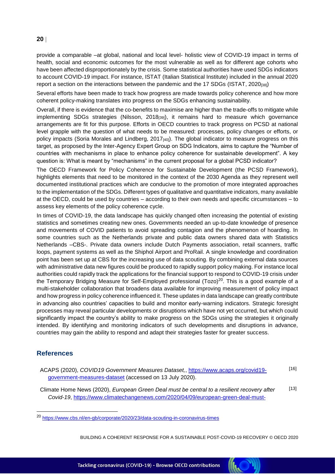provide a comparable –at global, national and local level- holistic view of COVID-19 impact in terms of health, social and economic outcomes for the most vulnerable as well as for different age cohorts who have been affected disproportionately by the crisis. Some statistical authorities have used SDGs indicators to account COVID-19 impact. For instance, ISTAT (Italian Statistical Institute) included in the annual 2020 report a section on the interactions between the pandemic and the 17 SDGs (ISTAT, 2020<sub>[38]</sub>)

Several efforts have been made to track how progress are made towards policy coherence and how more coherent policy-making translates into progress on the SDGs enhancing sustainability.

Overall, if there is evidence that the co-benefits to maximise are higher than the trade-offs to mitigate while implementing SDGs strategies (Nilsson, 2018<sub>[39]</sub>), it remains hard to measure which governance arrangements are fit for this purpose. Efforts in OECD countries to track progress on PCSD at national level grapple with the question of what needs to be measured: processes, policy changes or efforts, or policy impacts (Soria Morales and Lindberg, 2017<sub>[40]</sub>). The global indicator to measure progress on this target, as proposed by the Inter-Agency Expert Group on SDG Indicators, aims to capture the "Number of countries with mechanisms in place to enhance policy coherence for sustainable development". A key question is: What is meant by "mechanisms" in the current proposal for a global PCSD indicator?

The OECD Framework for Policy Coherence for Sustainable Development (the PCSD Framework), highlights elements that need to be monitored in the context of the 2030 Agenda as they represent well documented institutional practices which are conducive to the promotion of more integrated approaches to the implementation of the SDGs. Different types of qualitative and quantitative indicators, many available at the OECD, could be used by countries – according to their own needs and specific circumstances – to assess key elements of the policy coherence cycle.

In times of COVID-19, the data landscape has quickly changed often increasing the potential of existing statistics and sometimes creating new ones. Governments needed an up-to-date knowledge of presence and movements of COVID patients to avoid spreading contagion and the phenomenon of hoarding. In some countries such as the Netherlands private and public data owners shared data with Statistics Netherlands –CBS-. Private data owners include Dutch Payments association, retail scanners, traffic loops, payment systems as well as the Shiphol Airport and ProRail. A single knowledge and coordination point has been set up at CBS for the increasing use of data scouting. By combining external data sources with administrative data new figures could be produced to rapidly support policy making. For instance local authorities could rapidly track the applications for the financial support to respond to COVID-19 crisis under the Temporary Bridging Measure for Self-Employed professional (Tozo)<sup>20</sup>. This is a good example of a multi-stakeholder collaboration that broadens data available for improving measurement of policy impact and how progress in policy coherence influenced it. These updates in data landscape can greatly contribute in advancing also countries' capacities to build and monitor early-warning indicators. Strategic foresight processes may reveal particular developments or disruptions which have not yet occurred, but which could significantly impact the country's ability to make progress on the SDGs using the strategies it originally intended. By identifying and monitoring indicators of such developments and disruptions in advance, countries may gain the ability to respond and adapt their strategies faster for greater success.

### **References**

| ACAPS (2020), COVID19 Government Measures Dataset, https://www.acaps.org/covid19- | $[16]$ |
|-----------------------------------------------------------------------------------|--------|
| government-measures-dataset (accessed on 13 July 2020).                           |        |

Climate Home News (2020), *European Green Deal must be central to a resilient recovery after Covid-19*, https://www.climatechangenews.com/2020/04/09/european-green-deal-must- [13]

BUILDING A COHERENT RESPONSE FOR A SUSTAINABLE POST-COVID-19 RECOVERY © OECD 2020

**INC** 



<sup>20</sup> <https://www.cbs.nl/en-gb/corporate/2020/23/data-scouting-in-coronavirus-times>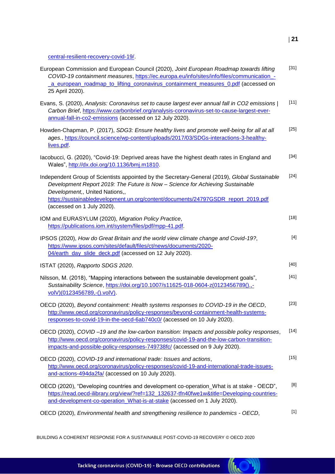central-resilient-recovery-covid-19/.

| European Commission and European Council (2020), Joint European Roadmap towards lifting<br>COVID-19 containment measures, https://ec.europa.eu/info/sites/info/files/communication_-<br>a european roadmap to lifting coronavirus containment measures 0.pdf (accessed on<br>25 April 2020).                                         | $[31]$ |
|--------------------------------------------------------------------------------------------------------------------------------------------------------------------------------------------------------------------------------------------------------------------------------------------------------------------------------------|--------|
| Evans, S. (2020), Analysis: Coronavirus set to cause largest ever annual fall in CO2 emissions  <br>Carbon Brief, https://www.carbonbrief.org/analysis-coronavirus-set-to-cause-largest-ever-<br>annual-fall-in-co2-emissions (accessed on 12 July 2020).                                                                            | $[11]$ |
| Howden-Chapman, P. (2017), SDG3: Ensure healthy lives and promote well-being for all at all<br>ages., https://council.science/wp-content/uploads/2017/03/SDGs-interactions-3-healthy-<br>lives.pdf.                                                                                                                                  | $[25]$ |
| lacobucci, G. (2020), "Covid-19: Deprived areas have the highest death rates in England and<br>Wales", http://dx.doi.org/10.1136/bmj.m1810.                                                                                                                                                                                          | $[34]$ |
| Independent Group of Scientists appointed by the Secretary-General (2019), Global Sustainable<br>Development Report 2019: The Future is Now - Science for Achieving Sustainable<br>Development,, United Nations,,<br>https://sustainabledevelopment.un.org/content/documents/24797GSDR_report_2019.pdf<br>(accessed on 1 July 2020). | $[24]$ |
| IOM and EURASYLUM (2020), Migration Policy Practice,<br>https://publications.iom.int/system/files/pdf/mpp-41.pdf.                                                                                                                                                                                                                    | $[18]$ |
| IPSOS (2020), How do Great Britain and the world view climate change and Covid-19?,<br>https://www.ipsos.com/sites/default/files/ct/news/documents/2020-<br>04/earth_day_slide_deck.pdf (accessed on 12 July 2020).                                                                                                                  | $[4]$  |
| ISTAT (2020), Rapporto SDGS 2020.                                                                                                                                                                                                                                                                                                    | $[40]$ |
| Nilsson, M. (2018), "Mapping interactions between the sustainable development goals",<br>Sustainability Science, https://doi.org/10.1007/s11625-018-0604-z(0123456789().,-<br>volV)(0123456789,-().volV).                                                                                                                            | $[41]$ |
| OECD (2020), Beyond containment: Health systems responses to COVID-19 in the OECD,<br>http://www.oecd.org/coronavirus/policy-responses/beyond-containment-health-systems-<br>responses-to-covid-19-in-the-oecd-6ab740c0/ (accessed on 10 July 2020).                                                                                 | $[23]$ |
| OECD (2020), COVID-19 and the low-carbon transition: Impacts and possible policy responses,<br>http://www.oecd.org/coronavirus/policy-responses/covid-19-and-the-low-carbon-transition-<br>impacts-and-possible-policy-responses-749738fc/ (accessed on 9 July 2020).                                                                | $[14]$ |
| OECD (2020), COVID-19 and international trade: Issues and actions,<br>http://www.oecd.org/coronavirus/policy-responses/covid-19-and-international-trade-issues-<br>and-actions-494da2fa/ (accessed on 10 July 2020).                                                                                                                 | $[15]$ |
| OECD (2020), "Developing countries and development co-operation_What is at stake - OECD",<br>https://read.oecd-ilibrary.org/view/?ref=132_132637-tfn40fwe1w&title=Developing-countries-<br>and-development-co-operation_What-is-at-stake (accessed on 1 July 2020).                                                                  | [8]    |
| OECD (2020), Environmental health and strengthening resilience to pandemics - OECD,                                                                                                                                                                                                                                                  | $[1]$  |

BUILDING A COHERENT RESPONSE FOR A SUSTAINABLE POST-COVID-19 RECOVERY © OECD 2020

Tackling coronavirus (COVID-19) - Browse OECD contributions

**(ICC)**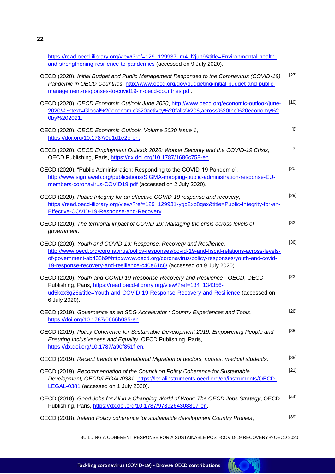https://read.oecd-ilibrary.org/view/?ref=129\_129937-jm4ul2jun9&title=Environmental-healthand-strengthening-resilience-to-pandemics (accessed on 9 July 2020).

| OECD (2020), Initial Budget and Public Management Responses to the Coronavirus (COVID-19)<br>Pandemic in OECD Countries, http://www.oecd.org/gov/budgeting/initial-budget-and-public-<br>management-responses-to-covid19-in-oecd-countries.pdf.                                                                                             | $[27]$ |
|---------------------------------------------------------------------------------------------------------------------------------------------------------------------------------------------------------------------------------------------------------------------------------------------------------------------------------------------|--------|
| OECD (2020), OECD Economic Outlook June 2020, http://www.oecd.org/economic-outlook/june-<br>2020/#:~:text=Global%20economic%20activity%20falls%206,across%20the%20economy%2<br>0by%202021.                                                                                                                                                  | $[10]$ |
| OECD (2020), OECD Economic Outlook, Volume 2020 Issue 1,<br>https://doi.org/10.1787/0d1d1e2e-en.                                                                                                                                                                                                                                            | [6]    |
| OECD (2020), OECD Employment Outlook 2020: Worker Security and the COVID-19 Crisis,<br>OECD Publishing, Paris, https://dx.doi.org/10.1787/1686c758-en.                                                                                                                                                                                      | $[7]$  |
| OECD (2020), "Public Administration: Responding to the COVID-19 Pandemic",<br>http://www.sigmaweb.org/publications/SIGMA-mapping-public-administration-response-EU-<br>members-coronavirus-COVID19.pdf (accessed on 2 July 2020).                                                                                                           | $[20]$ |
| OECD (2020), Public Integrity for an effective COVID-19 response and recovery,<br>https://read.oecd-ilibrary.org/view/?ref=129_129931-ygq2xb8qax&title=Public-Integrity-for-an-<br>Effective-COVID-19-Response-and-Recovery.                                                                                                                | $[29]$ |
| OECD (2020), The territorial impact of COVID-19: Managing the crisis across levels of<br>government.                                                                                                                                                                                                                                        | $[32]$ |
| OECD (2020), Youth and COVID-19: Response, Recovery and Resilience,<br>http://www.oecd.org/coronavirus/policy-responses/covid-19-and-fiscal-relations-across-levels-<br>of-government-ab438b9f/http:/www.oecd.org/coronavirus/policy-responses/youth-and-covid-<br>19-response-recovery-and-resilience-c40e61c6/ (accessed on 9 July 2020). | $[36]$ |
| OECD (2020), Youth-and-COVID-19-Response-Recovery-and-Resilience - OECD, OECD<br>Publishing, Paris, https://read.oecd-ilibrary.org/view/?ref=134_134356-<br>ud5kox3q26&title=Youth-and-COVID-19-Response-Recovery-and-Resilience (accessed on<br>6 July 2020).                                                                              | $[22]$ |
| OECD (2019), Governance as an SDG Accelerator: Country Experiences and Tools,<br>https://doi.org/10.1787/0666b085-en.                                                                                                                                                                                                                       | $[26]$ |
| OECD (2019), Policy Coherence for Sustainable Development 2019: Empowering People and<br>Ensuring Inclusiveness and Equality, OECD Publishing, Paris,<br>https://dx.doi.org/10.1787/a90f851f-en.                                                                                                                                            | $[35]$ |
| OECD (2019), Recent trends in International Migration of doctors, nurses, medical students.                                                                                                                                                                                                                                                 | $[38]$ |
| OECD (2019), Recommendation of the Council on Policy Coherence for Sustainable<br>Development, OECD/LEGAL/0381, https://legalinstruments.oecd.org/en/instruments/OECD-<br>LEGAL-0381 (accessed on 1 July 2020).                                                                                                                             | $[21]$ |
| OECD (2018), Good Jobs for All in a Changing World of Work: The OECD Jobs Strategy, OECD<br>Publishing, Paris, https://dx.doi.org/10.1787/9789264308817-en.                                                                                                                                                                                 | [44]   |
| OECD (2018), Ireland Policy coherence for sustainable development Country Profiles,                                                                                                                                                                                                                                                         | $[39]$ |

BUILDING A COHERENT RESPONSE FOR A SUSTAINABLE POST-COVID-19 RECOVERY © OECD 2020



**22**

Tackling coronavirus (COVID-19) - Browse OECD contributions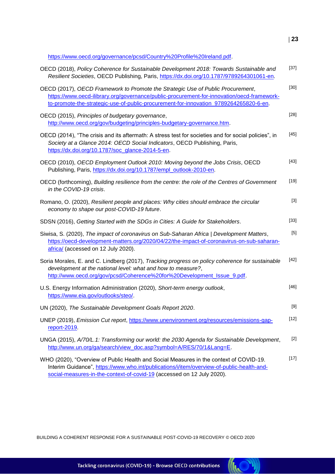https://www.oecd.org/governance/pcsd/Country%20Profile%20Ireland.pdf.

| OECD (2018), Policy Coherence for Sustainable Development 2018: Towards Sustainable and<br>Resilient Societies, OECD Publishing, Paris, https://dx.doi.org/10.1787/9789264301061-en.                                                                                   | $[37]$ |
|------------------------------------------------------------------------------------------------------------------------------------------------------------------------------------------------------------------------------------------------------------------------|--------|
| OECD (2017), OECD Framework to Promote the Strategic Use of Public Procurement,<br>https://www.oecd-ilibrary.org/governance/public-procurement-for-innovation/oecd-framework-<br>to-promote-the-strategic-use-of-public-procurement-for-innovation_9789264265820-6-en. | [30]   |
| OECD (2015), Principles of budgetary governance,<br>http://www.oecd.org/gov/budgeting/principles-budgetary-governance.htm.                                                                                                                                             | $[28]$ |
| OECD (2014), "The crisis and its aftermath: A stress test for societies and for social policies", in<br>Society at a Glance 2014: OECD Social Indicators, OECD Publishing, Paris,<br>https://dx.doi.org/10.1787/soc_glance-2014-5-en.                                  | $[45]$ |
| OECD (2010), OECD Employment Outlook 2010: Moving beyond the Jobs Crisis, OECD<br>Publishing, Paris, https://dx.doi.org/10.1787/empl_outlook-2010-en.                                                                                                                  | $[43]$ |
| OECD (forthcoming), Building resilience from the centre: the role of the Centres of Government<br>in the COVID-19 crisis.                                                                                                                                              | $[19]$ |
| Romano, O. (2020), Resilient people and places: Why cities should embrace the circular<br>economy to shape our post-COVID-19 future.                                                                                                                                   | $[3]$  |
| SDSN (2016), Getting Started with the SDGs in Cities: A Guide for Stakeholders.                                                                                                                                                                                        | $[33]$ |
| Siwisa, S. (2020), The impact of coronavirus on Sub-Saharan Africa   Development Matters,<br>https://oecd-development-matters.org/2020/04/22/the-impact-of-coronavirus-on-sub-saharan-<br>africa/ (accessed on 12 July 2020).                                          | $[5]$  |
| Soria Morales, E. and C. Lindberg (2017), Tracking progress on policy coherence for sustainable<br>development at the national level: what and how to measure?,<br>http://www.oecd.org/gov/pcsd/Coherence%20for%20Development_Issue_9.pdf.                             | $[42]$ |
| U.S. Energy Information Administration (2020), Short-term energy outlook,<br>https://www.eia.gov/outlooks/steo/                                                                                                                                                        | $[46]$ |
| UN (2020), The Sustainable Development Goals Report 2020.                                                                                                                                                                                                              | $[9]$  |
| UNEP (2019), Emission Cut report, https://www.unenvironment.org/resources/emissions-gap-<br>report- $2019$                                                                                                                                                             | $[12]$ |
| UNGA (2015), A/70/L.1: Transforming our world: the 2030 Agenda for Sustainable Development,<br>http://www.un.org/ga/search/view doc.asp?symbol=A/RES/70/1⟪=E.                                                                                                          | $[2]$  |
| WHO (2020), "Overview of Public Health and Social Measures in the context of COVID-19.<br>Interim Guidance", https://www.who.int/publications/i/item/overview-of-public-health-and-<br>social-measures-in-the-context-of-covid-19 (accessed on 12 July 2020).          | $[17]$ |

BUILDING A COHERENT RESPONSE FOR A SUSTAINABLE POST-COVID-19 RECOVERY © OECD 2020

**(INCT)**